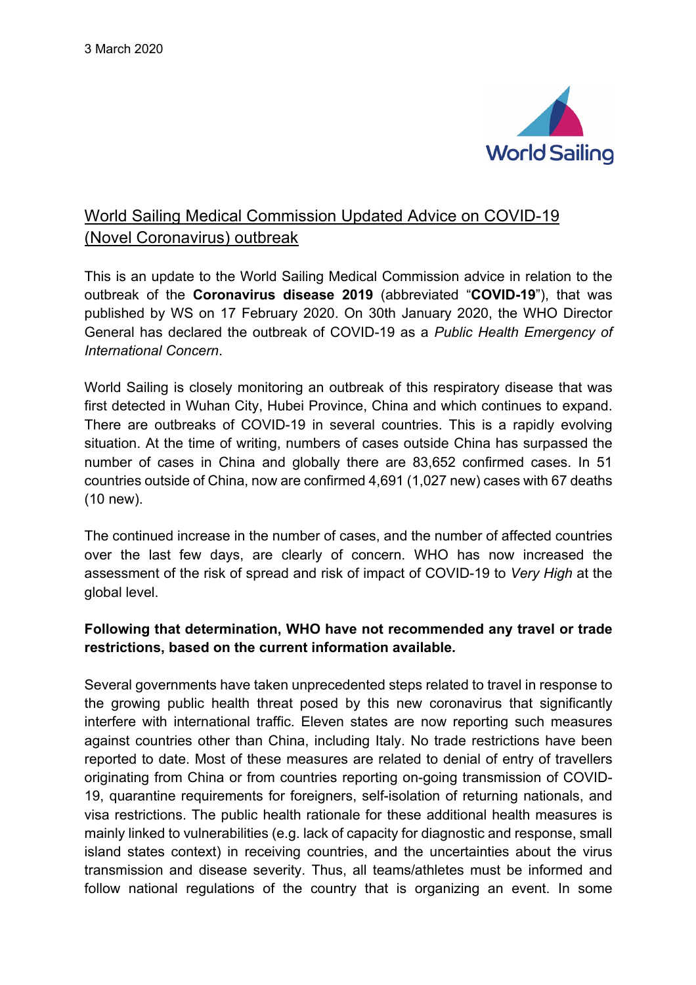

# World Sailing Medical Commission Updated Advice on COVID-19 (Novel Coronavirus) outbreak

This is an update to the World Sailing Medical Commission advice in relation to the outbreak of the **Coronavirus disease 2019** (abbreviated "**COVID-19**"), that was published by WS on 17 February 2020. On 30th January 2020, the WHO Director General has declared the outbreak of COVID-19 as a *Public Health Emergency of International Concern*.

World Sailing is closely monitoring an outbreak of this respiratory disease that was first detected in Wuhan City, Hubei Province, China and which continues to expand. There are outbreaks of COVID-19 in several countries. This is a rapidly evolving situation. At the time of writing, numbers of cases outside China has surpassed the number of cases in China and globally there are 83,652 confirmed cases. In 51 countries outside of China, now are confirmed 4,691 (1,027 new) cases with 67 deaths (10 new).

The continued increase in the number of cases, and the number of affected countries over the last few days, are clearly of concern. WHO has now increased the assessment of the risk of spread and risk of impact of COVID-19 to *Very High* at the global level.

## **Following that determination, WHO have not recommended any travel or trade restrictions, based on the current information available.**

Several governments have taken unprecedented steps related to travel in response to the growing public health threat posed by this new coronavirus that significantly interfere with international traffic. Eleven states are now reporting such measures against countries other than China, including Italy. No trade restrictions have been reported to date. Most of these measures are related to denial of entry of travellers originating from China or from countries reporting on-going transmission of COVID-19, quarantine requirements for foreigners, self-isolation of returning nationals, and visa restrictions. The public health rationale for these additional health measures is mainly linked to vulnerabilities (e.g. lack of capacity for diagnostic and response, small island states context) in receiving countries, and the uncertainties about the virus transmission and disease severity. Thus, all teams/athletes must be informed and follow national regulations of the country that is organizing an event. In some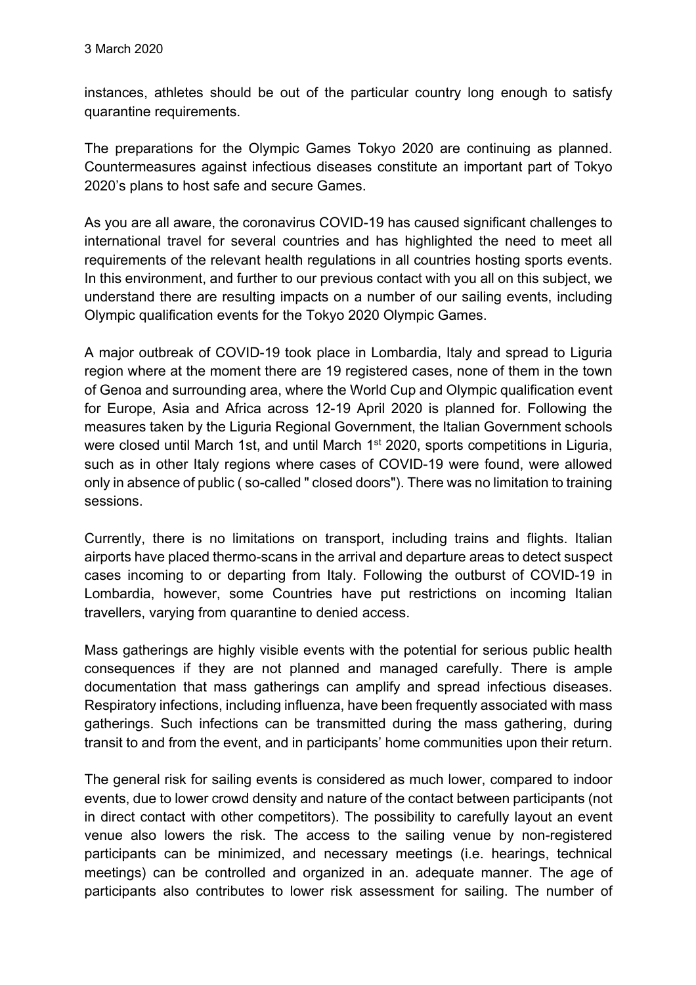instances, athletes should be out of the particular country long enough to satisfy quarantine requirements.

The preparations for the Olympic Games Tokyo 2020 are continuing as planned. Countermeasures against infectious diseases constitute an important part of Tokyo 2020's plans to host safe and secure Games.

As you are all aware, the coronavirus COVID-19 has caused significant challenges to international travel for several countries and has highlighted the need to meet all requirements of the relevant health regulations in all countries hosting sports events. In this environment, and further to our previous contact with you all on this subject, we understand there are resulting impacts on a number of our sailing events, including Olympic qualification events for the Tokyo 2020 Olympic Games.

A major outbreak of COVID-19 took place in Lombardia, Italy and spread to Liguria region where at the moment there are 19 registered cases, none of them in the town of Genoa and surrounding area, where the World Cup and Olympic qualification event for Europe, Asia and Africa across 12-19 April 2020 is planned for. Following the measures taken by the Liguria Regional Government, the Italian Government schools were closed until March 1st, and until March 1<sup>st</sup> 2020, sports competitions in Liguria, such as in other Italy regions where cases of COVID-19 were found, were allowed only in absence of public ( so-called " closed doors"). There was no limitation to training sessions.

Currently, there is no limitations on transport, including trains and flights. Italian airports have placed thermo-scans in the arrival and departure areas to detect suspect cases incoming to or departing from Italy. Following the outburst of COVID-19 in Lombardia, however, some Countries have put restrictions on incoming Italian travellers, varying from quarantine to denied access.

Mass gatherings are highly visible events with the potential for serious public health consequences if they are not planned and managed carefully. There is ample documentation that mass gatherings can amplify and spread infectious diseases. Respiratory infections, including influenza, have been frequently associated with mass gatherings. Such infections can be transmitted during the mass gathering, during transit to and from the event, and in participants' home communities upon their return.

The general risk for sailing events is considered as much lower, compared to indoor events, due to lower crowd density and nature of the contact between participants (not in direct contact with other competitors). The possibility to carefully layout an event venue also lowers the risk. The access to the sailing venue by non-registered participants can be minimized, and necessary meetings (i.e. hearings, technical meetings) can be controlled and organized in an. adequate manner. The age of participants also contributes to lower risk assessment for sailing. The number of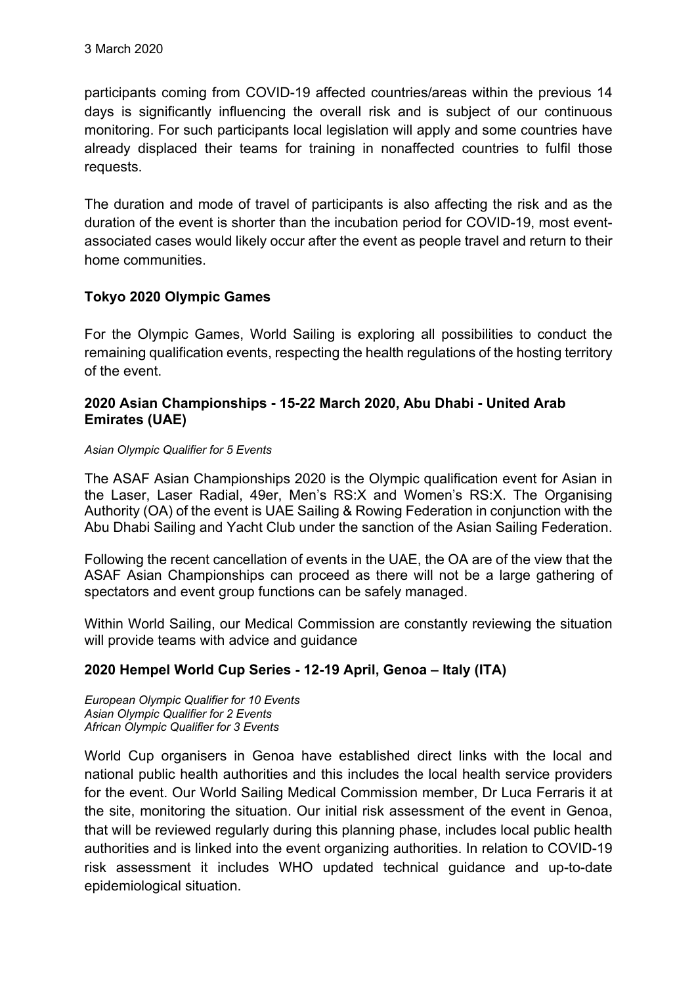participants coming from COVID-19 affected countries/areas within the previous 14 days is significantly influencing the overall risk and is subject of our continuous monitoring. For such participants local legislation will apply and some countries have already displaced their teams for training in nonaffected countries to fulfil those requests.

The duration and mode of travel of participants is also affecting the risk and as the duration of the event is shorter than the incubation period for COVID-19, most eventassociated cases would likely occur after the event as people travel and return to their home communities.

## **Tokyo 2020 Olympic Games**

For the Olympic Games, World Sailing is exploring all possibilities to conduct the remaining qualification events, respecting the health regulations of the hosting territory of the event.

### **2020 Asian Championships - 15-22 March 2020, Abu Dhabi - United Arab Emirates (UAE)**

#### *Asian Olympic Qualifier for 5 Events*

The ASAF Asian Championships 2020 is the Olympic qualification event for Asian in the Laser, Laser Radial, 49er, Men's RS:X and Women's RS:X. The Organising Authority (OA) of the event is UAE Sailing & Rowing Federation in conjunction with the Abu Dhabi Sailing and Yacht Club under the sanction of the Asian Sailing Federation.

Following the recent cancellation of events in the UAE, the OA are of the view that the ASAF Asian Championships can proceed as there will not be a large gathering of spectators and event group functions can be safely managed.

Within World Sailing, our Medical Commission are constantly reviewing the situation will provide teams with advice and quidance

## **2020 Hempel World Cup Series - 12-19 April, Genoa – Italy (ITA)**

*European Olympic Qualifier for 10 Events Asian Olympic Qualifier for 2 Events African Olympic Qualifier for 3 Events*

World Cup organisers in Genoa have established direct links with the local and national public health authorities and this includes the local health service providers for the event. Our World Sailing Medical Commission member, Dr Luca Ferraris it at the site, monitoring the situation. Our initial risk assessment of the event in Genoa, that will be reviewed regularly during this planning phase, includes local public health authorities and is linked into the event organizing authorities. In relation to COVID-19 risk assessment it includes WHO updated technical guidance and up-to-date epidemiological situation.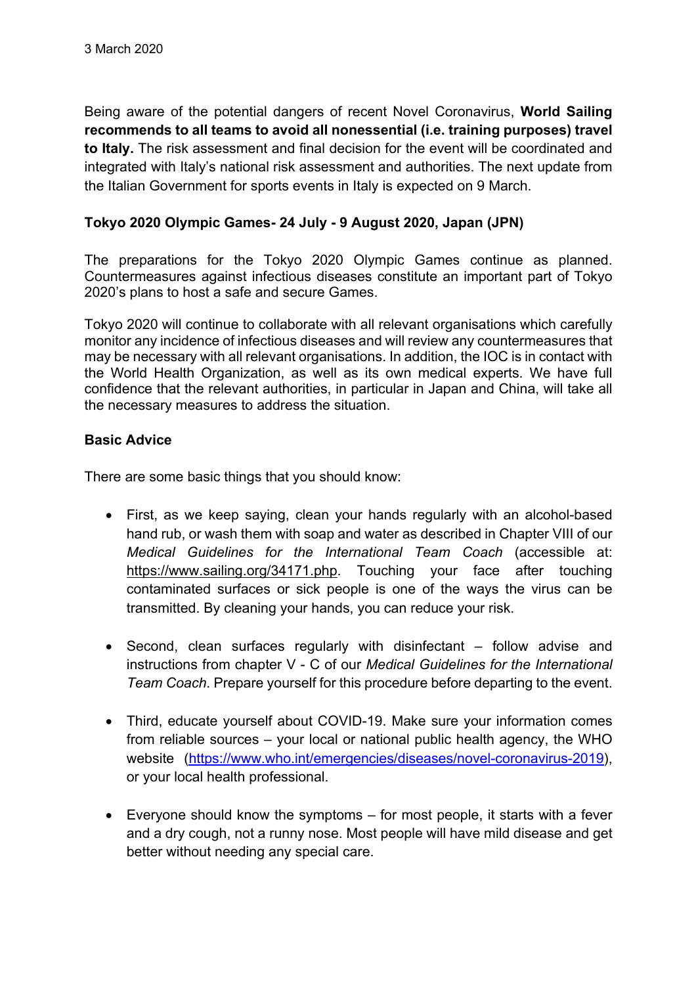Being aware of the potential dangers of recent Novel Coronavirus, **World Sailing recommends to all teams to avoid all nonessential (i.e. training purposes) travel to Italy.** The risk assessment and final decision for the event will be coordinated and integrated with Italy's national risk assessment and authorities. The next update from the Italian Government for sports events in Italy is expected on 9 March.

## **Tokyo 2020 Olympic Games- 24 July - 9 August 2020, Japan (JPN)**

The preparations for the Tokyo 2020 Olympic Games continue as planned. Countermeasures against infectious diseases constitute an important part of Tokyo 2020's plans to host a safe and secure Games.

Tokyo 2020 will continue to collaborate with all relevant organisations which carefully monitor any incidence of infectious diseases and will review any countermeasures that may be necessary with all relevant organisations. In addition, the IOC is in contact with the World Health Organization, as well as its own medical experts. We have full confidence that the relevant authorities, in particular in Japan and China, will take all the necessary measures to address the situation.

## **Basic Advice**

There are some basic things that you should know:

- First, as we keep saying, clean your hands regularly with an alcohol-based hand rub, or wash them with soap and water as described in Chapter VIII of our *Medical Guidelines for the International Team Coach* (accessible at: https://www.sailing.org/34171.php. Touching your face after touching contaminated surfaces or sick people is one of the ways the virus can be transmitted. By cleaning your hands, you can reduce your risk.
- Second, clean surfaces regularly with disinfectant follow advise and instructions from chapter V - C of our *Medical Guidelines for the International Team Coach*. Prepare yourself for this procedure before departing to the event.
- Third, educate yourself about COVID-19. Make sure your information comes from reliable sources – your local or national public health agency, the WHO website (https://www.who.int/emergencies/diseases/novel-coronavirus-2019), or your local health professional.
- Everyone should know the symptoms for most people, it starts with a fever and a dry cough, not a runny nose. Most people will have mild disease and get better without needing any special care.